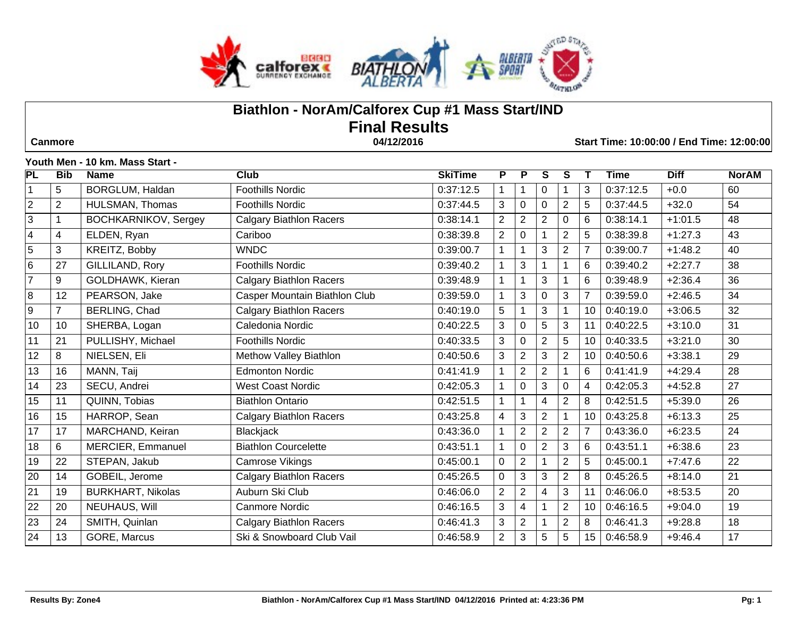

# **Biathlon - NorAm/Calforex Cup #1 Mass Start/IND Final Results Canmore 04/12/2016 Start Time: 10:00:00 / End Time: 12:00:00**

**Youth Men - 10 km. Mass Start -** 

| $\overline{\mathsf{PL}}$ | <b>Bib</b>     | <b>Name</b>                 | $\overline{\text{Club}}$       | <b>SkiTime</b> | P.             | $\overline{P}$ | S              | S              | Т               | <b>Time</b> | <b>Diff</b> | <b>NorAM</b> |
|--------------------------|----------------|-----------------------------|--------------------------------|----------------|----------------|----------------|----------------|----------------|-----------------|-------------|-------------|--------------|
| $\mathbf 1$              | 5              | <b>BORGLUM, Haldan</b>      | <b>Foothills Nordic</b>        | 0:37:12.5      |                |                | $\mathbf 0$    |                | 3               | 0:37:12.5   | $+0.0$      | 60           |
| $\overline{2}$           | $\overline{2}$ | HULSMAN, Thomas             | <b>Foothills Nordic</b>        | 0:37:44.5      | 3              | 0              | $\Omega$       | $\overline{c}$ | 5               | 0:37:44.5   | $+32.0$     | 54           |
| 3                        | 1              | <b>BOCHKARNIKOV, Sergey</b> | <b>Calgary Biathlon Racers</b> | 0:38:14.1      | $\overline{2}$ | $\overline{2}$ | $\overline{2}$ | 0              | 6               | 0:38:14.1   | $+1:01.5$   | 48           |
| $\overline{4}$           | 4              | ELDEN, Ryan                 | Cariboo                        | 0:38:39.8      | $\overline{2}$ | 0              |                | $\overline{2}$ | 5               | 0:38:39.8   | $+1:27.3$   | 43           |
| $\overline{5}$           | 3              | KREITZ, Bobby               | <b>WNDC</b>                    | 0:39:00.7      |                |                | 3              | $\overline{c}$ | $\overline{7}$  | 0:39:00.7   | $+1:48.2$   | 40           |
| $6\phantom{.}$           | 27             | GILLILAND, Rory             | <b>Foothills Nordic</b>        | 0:39:40.2      |                | 3              |                | 1              | $6\phantom{1}6$ | 0:39:40.2   | $+2:27.7$   | 38           |
| $\overline{7}$           | 9              | GOLDHAWK, Kieran            | <b>Calgary Biathlon Racers</b> | 0:39:48.9      |                |                | 3              |                | $6\phantom{1}6$ | 0:39:48.9   | $+2:36.4$   | 36           |
| 8                        | 12             | PEARSON, Jake               | Casper Mountain Biathlon Club  | 0:39:59.0      |                | 3              | $\Omega$       | 3              | $\overline{7}$  | 0:39:59.0   | $+2:46.5$   | 34           |
| $\overline{9}$           | $\overline{7}$ | BERLING, Chad               | <b>Calgary Biathlon Racers</b> | 0:40:19.0      | 5              |                | 3              |                | 10              | 0:40:19.0   | $+3:06.5$   | 32           |
| 10                       | 10             | SHERBA, Logan               | Caledonia Nordic               | 0:40:22.5      | 3              | $\Omega$       | 5              | 3              | 11              | 0:40:22.5   | $+3:10.0$   | 31           |
| 11                       | 21             | PULLISHY, Michael           | <b>Foothills Nordic</b>        | 0:40:33.5      | 3              | 0              | $\overline{2}$ | 5              | 10              | 0:40:33.5   | $+3:21.0$   | 30           |
| 12                       | 8              | NIELSEN, Eli                | Methow Valley Biathlon         | 0:40:50.6      | 3              | $\overline{2}$ | 3              | $\overline{2}$ | 10              | 0:40:50.6   | $+3:38.1$   | 29           |
| 13                       | 16             | MANN, Taij                  | <b>Edmonton Nordic</b>         | 0:41:41.9      |                | 2              | $\overline{2}$ |                | 6               | 0:41:41.9   | $+4:29.4$   | 28           |
| 14                       | 23             | SECU, Andrei                | <b>West Coast Nordic</b>       | 0:42:05.3      |                | 0              | 3              | 0              | $\overline{4}$  | 0:42:05.3   | $+4:52.8$   | 27           |
| 15                       | 11             | QUINN, Tobias               | <b>Biathlon Ontario</b>        | 0:42:51.5      |                |                | 4              | $\overline{2}$ | 8               | 0:42:51.5   | $+5:39.0$   | 26           |
| 16                       | 15             | HARROP, Sean                | <b>Calgary Biathlon Racers</b> | 0:43:25.8      | $\overline{4}$ | 3              | $\overline{2}$ | 1              | 10              | 0:43:25.8   | $+6:13.3$   | 25           |
| 17                       | 17             | MARCHAND, Keiran            | <b>Blackjack</b>               | 0:43:36.0      |                | $\overline{2}$ | $\overline{2}$ | $\overline{2}$ | $\overline{7}$  | 0:43:36.0   | $+6:23.5$   | 24           |
| 18                       | 6              | MERCIER, Emmanuel           | <b>Biathlon Courcelette</b>    | 0:43:51.1      | 1              | 0              | $\overline{2}$ | 3              | 6               | 0:43:51.1   | $+6:38.6$   | 23           |
| 19                       | 22             | STEPAN, Jakub               | Camrose Vikings                | 0:45:00.1      | $\Omega$       | 2              |                | $\overline{c}$ | 5               | 0:45:00.1   | $+7:47.6$   | 22           |
| 20                       | 14             | GOBEIL, Jerome              | <b>Calgary Biathlon Racers</b> | 0:45:26.5      | $\mathbf 0$    | 3              | 3              | $\overline{2}$ | 8               | 0:45:26.5   | $+8:14.0$   | 21           |
| 21                       | 19             | <b>BURKHART, Nikolas</b>    | Auburn Ski Club                | 0:46:06.0      | $\overline{2}$ | $\overline{2}$ | 4              | 3              | 11              | 0:46:06.0   | $+8:53.5$   | 20           |
| 22                       | 20             | NEUHAUS, Will               | Canmore Nordic                 | 0:46:16.5      | 3              | 4              |                | $\overline{2}$ | 10              | 0:46:16.5   | $+9:04.0$   | 19           |
| 23                       | 24             | SMITH, Quinlan              | <b>Calgary Biathlon Racers</b> | 0:46:41.3      | 3              | 2              |                | $\overline{2}$ | 8               | 0:46:41.3   | $+9:28.8$   | 18           |
| 24                       | 13             | GORE, Marcus                | Ski & Snowboard Club Vail      | 0:46:58.9      | 2              | 3              | 5              | 5              | 15              | 0:46:58.9   | $+9:46.4$   | 17           |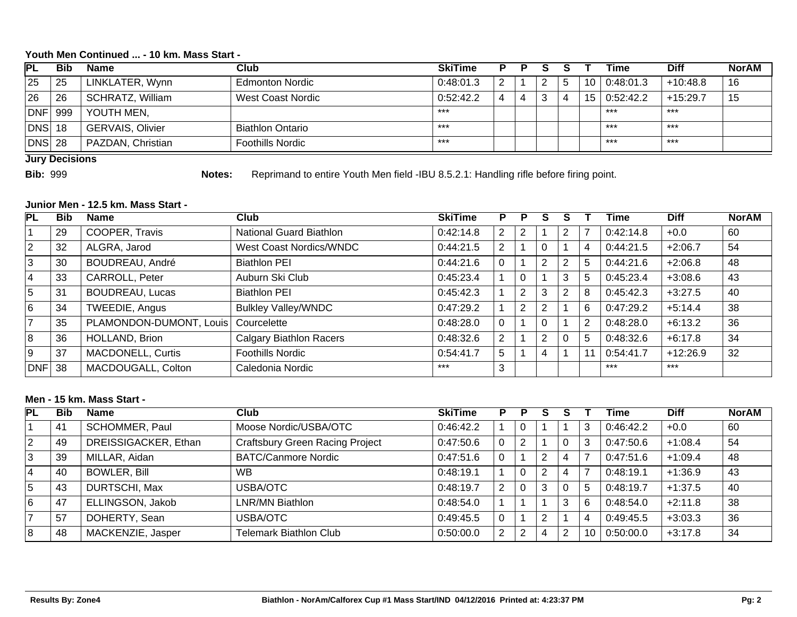### **Youth Men Continued ... - 10 km. Mass Start -**

| PL      | Bib | <b>Name</b>             | Club                    | <b>SkiTime</b> | P |   |    | Гіmе      | <b>Diff</b> | <b>NorAM</b> |
|---------|-----|-------------------------|-------------------------|----------------|---|---|----|-----------|-------------|--------------|
| 25      | 25  | LINKLATER, Wynn         | <b>Edmonton Nordic</b>  | 0:48:01.3      | 2 | n | 10 | 0:48:01.3 | $+10:48.8$  | 16           |
| 26      | 26  | <b>SCHRATZ, William</b> | West Coast Nordic       | 0.52:42.2      |   |   | 15 | 0:52:42.2 | $+15:29.7$  |              |
| DNF     | 999 | YOUTH MEN,              |                         | ***            |   |   |    | $***$     | $***$       |              |
| DNS  18 |     | <b>GERVAIS, Olivier</b> | <b>Biathlon Ontario</b> | ***            |   |   |    | $***$     | $***$       |              |
| DNS 28  |     | PAZDAN, Christian       | <b>Foothills Nordic</b> | ***            |   |   |    | $***$     | ***         |              |

**Jury Decisions**

**Bib:** 999 **Notes:** Reprimand to entire Youth Men field - IBU 8.5.2.1: Handling rifle before firing point.

#### **Junior Men - 12.5 km. Mass Start -**

| PL             | <b>Bib</b> | <b>Name</b>              | Club                           | <b>SkiTime</b> | P              | P              |                |   |                | Time      | <b>Diff</b> | <b>NorAM</b> |
|----------------|------------|--------------------------|--------------------------------|----------------|----------------|----------------|----------------|---|----------------|-----------|-------------|--------------|
|                | 29         | COOPER, Travis           | National Guard Biathlon        | 0:42:14.8      | 2              |                |                | ⌒ |                | 0:42:14.8 | $+0.0$      | 60           |
| $\overline{2}$ | 32         | ALGRA, Jarod             | West Coast Nordics/WNDC        | 0.44:21.5      | 2              |                |                |   | 4              | 0:44:21.5 | $+2:06.7$   | 54           |
| 3              | 30         | BOUDREAU, André          | <b>Biathlon PEI</b>            | 0.44:21.6      |                |                | 2              | 2 | 5              | 0:44:21.6 | $+2:06.8$   | 48           |
| 4              | 33         | CARROLL, Peter           | Auburn Ski Club                | 0:45:23.4      |                | 0              |                | 3 | 5              | 0:45:23.4 | $+3:08.6$   | 43           |
| 5              | 31         | <b>BOUDREAU, Lucas</b>   | <b>Biathlon PEI</b>            | 0:45:42.3      |                | 2              | 3              | 2 | 8              | 0:45:42.3 | $+3:27.5$   | 40           |
| 6              | 34         | TWEEDIE, Angus           | <b>Bulkley Valley/WNDC</b>     | 0:47:29.2      |                | $\overline{2}$ | $\overline{2}$ |   | 6              | 0:47:29.2 | $+5:14.4$   | 38           |
|                | 35         | PLAMONDON-DUMONT, Louis  | Courcelette                    | 0.48:28.0      |                |                |                |   | $\overline{2}$ | 0:48:28.0 | $+6:13.2$   | 36           |
| 8              | 36         | HOLLAND, Brion           | <b>Calgary Biathlon Racers</b> | 0.48.32.6      | $\overline{2}$ |                | 2              | 0 | 5              | 0:48:32.6 | $+6:17.8$   | 34           |
| Ι9             | 37         | <b>MACDONELL, Curtis</b> | <b>Foothills Nordic</b>        | 0:54:41.7      | 5              |                |                |   | 11             | 0:54:41.7 | $+12:26.9$  | 32           |
| $DNF$ 38       |            | MACDOUGALL, Colton       | Caledonia Nordic               | ***            | 3              |                |                |   |                | $***$     | $***$       |              |

### **Men - 15 km. Mass Start -**

| PL | <b>Bib</b> | <b>Name</b>          | Club                                   | <b>SkiTime</b> | P. | P | s |   |    | Time      | <b>Diff</b> | <b>NorAM</b> |
|----|------------|----------------------|----------------------------------------|----------------|----|---|---|---|----|-----------|-------------|--------------|
|    | 41         | SCHOMMER, Paul       | Moose Nordic/USBA/OTC                  | 0:46:42.2      |    |   |   |   | 3  | 0:46:42.2 | $+0.0$      | 60           |
| 2  | 49         | DREISSIGACKER, Ethan | <b>Craftsbury Green Racing Project</b> | 0.47:50.6      | 0  |   |   | 0 | 3  | 0:47:50.6 | $+1:08.4$   | 54           |
| 3  | 39         | MILLAR, Aidan        | <b>BATC/Canmore Nordic</b>             | 0.47:51.6      | 0  |   | າ |   |    | 0:47:51.6 | $+1:09.4$   | 48           |
| 14 | 40         | <b>BOWLER, Bill</b>  | <b>WB</b>                              | 0:48:19.1      |    |   | ົ |   | ⇁  | 0:48:19.1 | $+1:36.9$   | 43           |
| 15 | 43         | DURTSCHI, Max        | USBA/OTC                               | 0.48:19.7      | 2  |   | 3 | 0 | 5  | 0:48:19.7 | $+1:37.5$   | 40           |
| 16 | 47         | ELLINGSON, Jakob     | LNR/MN Biathlon                        | 0.48.54.0      |    |   |   | 3 | 6  | 0:48:54.0 | $+2:11.8$   | 38           |
|    | 57         | DOHERTY, Sean        | USBA/OTC                               | 0.49.45.5      | 0  |   | ◠ |   | 4  | 0:49:45.5 | $+3:03.3$   | 36           |
| 8  | 48         | MACKENZIE, Jasper    | <b>Telemark Biathlon Club</b>          | 0:50:00.0      | 2  |   | 4 | າ | 10 | 0:50:00.0 | $+3:17.8$   | 34           |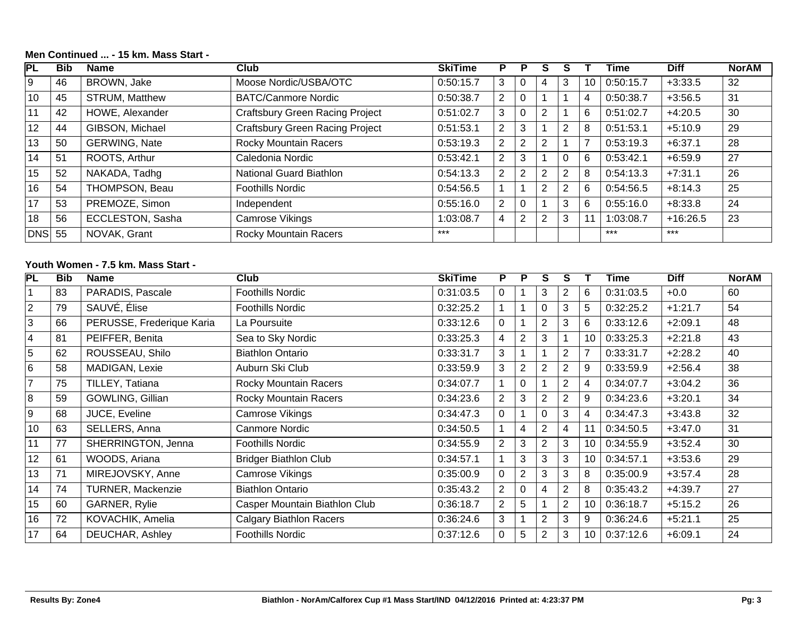# **PL Bib Name Club SkiTime P P S S T Time Diff NorAM** 9 46 BROWN, Jake Moose Nordic/USBA/OTC 0:50:15.7 3 0 4 3 10 0:50:15.7 +3:33.5 32 10 45 STRUM, Matthew BATC/Canmore Nordic 0:50:38.7 2 0 1 1 4 0:50:38.7 +3:56.5 31 11 42 HOWE, Alexander Craftsbury Green Racing Project 0:51:02.7 3 0 2 1 6 0:51:02.7 +4:20.5 30 12 44 GIBSON, Michael Craftsbury Green Racing Project 0:51:53.1 2 3 1 2 8 0:51:53.1 +5:10.9 29 13 50 GERWING, Nate Rocky Mountain Racers 0:53:19.3 2 2 2 1 7 0:53:19.3 +6:37.1 28 14 51 ROOTS, Arthur Caledonia Nordic 0:53:42.1 2 3 1 0 6 0:53:42.1 +6:59.9 27 15 | 52 | NAKADA, Tadhg | National Guard Biathlon | 0:54:13.3 | 2 | 2 | 2 | 8 | 0:54:13.3 | +7:31.1 | 26 16 54 THOMPSON, Beau Foothills Nordic 0:54:56.5 1 1 2 2 6 0:54:56.5 +8:14.3 25 17 53 PREMOZE, Simon Independent 0:55:16.0 2 0 1 3 6 0:55:16.0 +8:33.8 24 18 | 56 | ECCLESTON, Sasha | Camrose Vikings | 1:03:08.7 | 4 | 2 | 2 | 3 | 11 | 1:03:08.7 | +16:26.5 | 23 DNS 55 NOVAK, Grant Rocky Mountain Racers \*\*\* The test was a statement of the test was a statement of the test was the test was a statement of the test was a statement of the test was a statement of the test was a statemen

#### **Men Continued ... - 15 km. Mass Start -**

#### **Youth Women - 7.5 km. Mass Start -**

| PL                      | <b>Bib</b> | <b>Name</b>               | <b>Club</b>                    | <b>SkiTime</b> | P            | P              | S              | S              |                | Time      | <b>Diff</b> | <b>NorAM</b> |
|-------------------------|------------|---------------------------|--------------------------------|----------------|--------------|----------------|----------------|----------------|----------------|-----------|-------------|--------------|
|                         | 83         | PARADIS, Pascale          | <b>Foothills Nordic</b>        | 0:31:03.5      | $\mathbf{0}$ |                | 3              | 2              | 6              | 0:31:03.5 | $+0.0$      | 60           |
| $\overline{2}$          | 79         | SAUVÉ, Élise              | <b>Foothills Nordic</b>        | 0:32:25.2      |              |                | 0              | 3              | 5              | 0:32:25.2 | $+1:21.7$   | 54           |
| 3                       | 66         | PERUSSE, Frederique Karia | La Poursuite                   | 0:33:12.6      | $\Omega$     |                | $\overline{2}$ | 3              | 6              | 0:33:12.6 | $+2:09.1$   | 48           |
| $\overline{\mathbf{4}}$ | 81         | PEIFFER, Benita           | Sea to Sky Nordic              | 0:33:25.3      | 4            | $\overline{2}$ | 3              |                | 10             | 0:33:25.3 | $+2:21.8$   | 43           |
| $\overline{5}$          | 62         | ROUSSEAU, Shilo           | <b>Biathlon Ontario</b>        | 0:33:31.7      | 3            |                |                | 2              | $\overline{7}$ | 0:33:31.7 | $+2:28.2$   | 40           |
| $6\phantom{1}$          | 58         | MADIGAN, Lexie            | Auburn Ski Club                | 0:33:59.9      | 3            | $\overline{2}$ | 2              | $\overline{2}$ | 9              | 0:33:59.9 | $+2:56.4$   | 38           |
| $\overline{7}$          | 75         | TILLEY, Tatiana           | <b>Rocky Mountain Racers</b>   | 0:34:07.7      |              | $\Omega$       |                | $\overline{2}$ | 4              | 0:34:07.7 | $+3:04.2$   | 36           |
| 8                       | 59         | GOWLING, Gillian          | <b>Rocky Mountain Racers</b>   | 0:34:23.6      | 2            | 3              | 2              | 2              | 9              | 0:34:23.6 | $+3:20.1$   | 34           |
| $9\,$                   | 68         | JUCE, Eveline             | Camrose Vikings                | 0:34:47.3      | $\Omega$     |                |                | 3              | 4              | 0:34:47.3 | $+3:43.8$   | 32           |
| 10                      | 63         | SELLERS, Anna             | Canmore Nordic                 | 0:34:50.5      |              | 4              | $\overline{2}$ | 4              | 11             | 0:34:50.5 | $+3:47.0$   | 31           |
| 11                      | 77         | SHERRINGTON, Jenna        | <b>Foothills Nordic</b>        | 0:34:55.9      | 2            | 3              | $\overline{2}$ | 3              | 10             | 0:34:55.9 | $+3:52.4$   | 30           |
| 12                      | 61         | WOODS, Ariana             | <b>Bridger Biathlon Club</b>   | 0:34:57.1      |              | 3              | 3              | 3              | 10             | 0:34:57.1 | $+3:53.6$   | 29           |
| 13                      | 71         | MIREJOVSKY, Anne          | Camrose Vikings                | 0:35:00.9      | $\Omega$     | $\overline{2}$ | 3              | 3              | 8              | 0:35:00.9 | $+3:57.4$   | 28           |
| 14                      | 74         | <b>TURNER, Mackenzie</b>  | <b>Biathlon Ontario</b>        | 0:35:43.2      | 2            | 0              | 4              | 2              | 8              | 0:35:43.2 | $+4:39.7$   | 27           |
| 15                      | 60         | GARNER, Rylie             | Casper Mountain Biathlon Club  | 0:36:18.7      | 2            | 5              |                | $\overline{2}$ | 10             | 0:36:18.7 | $+5:15.2$   | 26           |
| 16                      | 72         | KOVACHIK, Amelia          | <b>Calgary Biathlon Racers</b> | 0:36:24.6      | 3            |                | 2              | 3              | 9              | 0:36:24.6 | $+5:21.1$   | 25           |
| 17                      | 64         | DEUCHAR, Ashley           | <b>Foothills Nordic</b>        | 0:37:12.6      | 0            | 5              | 2              | 3              | 10             | 0:37:12.6 | $+6:09.1$   | 24           |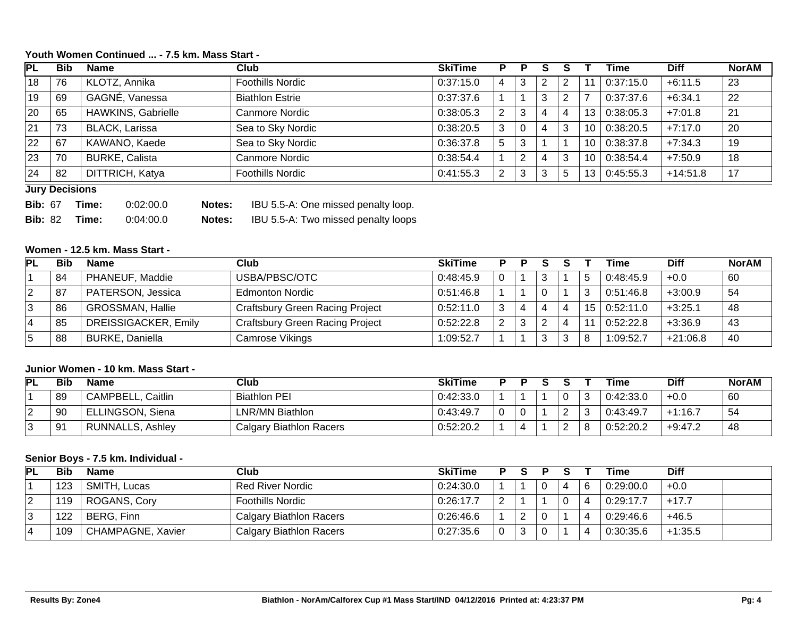## **Youth Women Continued ... - 7.5 km. Mass Start -**

| IPL. | <b>Bib</b> | <b>Name</b>               | Club                    | <b>SkiTime</b> | P. |     | o |    | Гіmе      | <b>Diff</b> | <b>NorAM</b> |
|------|------------|---------------------------|-------------------------|----------------|----|-----|---|----|-----------|-------------|--------------|
| 18   | 76         | KLOTZ, Annika             | <b>Foothills Nordic</b> | 0:37:15.0      |    | 3   | 2 | 1  | 0:37:15.0 | $+6:11.5$   | 23           |
| 19   | 69         | GAGNÉ, Vanessa            | <b>Biathlon Estrie</b>  | 0:37:37.6      |    |     | հ |    | 0:37:37.6 | $+6:34.1$   | 22           |
| 20   | 65         | <b>HAWKINS, Gabrielle</b> | Canmore Nordic          | 0:38:05.3      | 2  | 3   | 4 | 13 | 0:38:05.3 | $+7:01.8$   | 21           |
| 21   | 73         | <b>BLACK, Larissa</b>     | Sea to Sky Nordic       | 0:38:20.5      | 3  |     | 4 | 10 | 0:38:20.5 | $+7:17.0$   | 20           |
| 22   | 67         | KAWANO, Kaede             | Sea to Sky Nordic       | 0:36:37.8      | 5  | - 3 |   | 10 | 0:38:37.8 | $+7:34.3$   | 19           |
| 23   | 70         | <b>BURKE, Calista</b>     | Canmore Nordic          | 0:38:54.4      |    |     | 4 | 10 | 0:38:54.4 | $+7:50.9$   | 18           |
| 24   | 82         | DITTRICH, Katya           | <b>Foothills Nordic</b> | 0:41:55.3      | ာ  | 3   |   | IЗ | 0:45:55.3 | $+14:51.8$  | 17           |

#### **Jury Decisions**

| <b>Bib: 67</b> | Time: | 0:02:00.0 | Notes: | IBU 5.5-A: One missed penalty loop. |
|----------------|-------|-----------|--------|-------------------------------------|
| <b>Bib: 82</b> | Time: | 0.04:00.0 | Notes: | IBU 5.5-A: Two missed penalty loops |

## **Women - 12.5 km. Mass Start -**

| PL | Bib  | <b>Name</b>             | <b>Club</b>                            | <b>SkiTime</b> | D |   |   |    | Time      | <b>Diff</b> | <b>NorAM</b> |
|----|------|-------------------------|----------------------------------------|----------------|---|---|---|----|-----------|-------------|--------------|
|    | 84   | PHANEUF, Maddie         | USBA/PBSC/OTC                          | 0.48.45.9      |   |   |   | 5  | 0:48:45.9 | $+0.0$      | -60          |
| 2  | . 87 | PATERSON, Jessica       | <b>Edmonton Nordic</b>                 | 0:51:46.8      |   |   |   | 3  | 0:51:46.8 | $+3:00.9$   | 54           |
|    | 86   | <b>GROSSMAN, Hallie</b> | Craftsbury Green Racing Project        | 0:52:11.0      |   | 4 |   | 15 | 0:52:11.0 | $+3:25.1$   | 48           |
| 4  | 85   | DREISSIGACKER, Emily    | <b>Craftsbury Green Racing Project</b> | 0:52:22.8      | ົ |   |   |    | 0:52:22.8 | $+3:36.9$   | 43           |
|    | 88   | <b>BURKE, Daniella</b>  | Camrose Vikings                        | 1:09:52.7      |   |   | ◠ | 8  | 1:09:52.7 | $+21:06.8$  | -40          |

### **Junior Women - 10 km. Mass Start -**

| <b>PL</b> | Bib | <b>Name</b>          | Club                    | <b>SkiTime</b> |     |  |        |    | Time      | <b>Diff</b> | <b>NorAM</b> |
|-----------|-----|----------------------|-------------------------|----------------|-----|--|--------|----|-----------|-------------|--------------|
|           | 89  | CAMPBELL,<br>Caitlin | <b>Biathlon PEI</b>     | 0:42:33.0      |     |  | n<br>U | 3  | 0:42:33.0 | $+0.0$      | -60          |
|           | 90  | ELLINGSON, Siena     | LNR/MN Biathlon         | 0:43:49.7      | - 0 |  | ົ      |    | 0:43:49.7 | $+1:16.$    | 54           |
|           | 91  | RUNNALLS, Ashley     | Calgary Biathlon Racers | 0:52:20.2      |     |  | ⌒      | -8 | 0:52:20.2 | $+9:47.2$   | 40           |

#### **Senior Boys - 7.5 km. Individual -**

| PL | <b>Bib</b> | <b>Name</b>       | Club                    | <b>SkiTime</b> |  |  |   | Гіmе      | <b>Diff</b> |  |
|----|------------|-------------------|-------------------------|----------------|--|--|---|-----------|-------------|--|
|    | 123        | SMITH, Lucas      | <b>Red River Nordic</b> | 0:24:30.0      |  |  | 6 | 0:29:00.0 | $+0.0$      |  |
| ∠  | 119        | ROGANS, Cory      | <b>Foothills Nordic</b> | 0:26:17.7      |  |  |   | 0:29:17.7 | $+17.7$     |  |
|    | 122        | BERG, Finn        | Calgary Biathlon Racers | 0:26:46.6      |  |  |   | 0:29:46.6 | $+46.5$     |  |
|    | 109        | CHAMPAGNE, Xavier | Calgary Biathlon Racers | 0:27:35.6      |  |  |   | 0:30:35.6 | $+1:35.5$   |  |